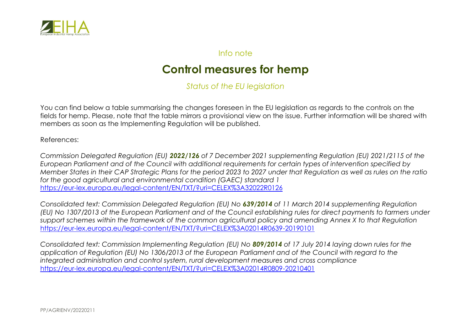

## Info note

## **Control measures for hemp**

*Status of the EU legislation*

You can find below a table summarising the changes foreseen in the EU legislation as regards to the controls on the fields for hemp. Please, note that the table mirrors a provisional view on the issue. Further information will be shared with members as soon as the Implementing Regulation will be published.

References:

*Commission Delegated Regulation (EU) 2022/126 of 7 December 2021 supplementing Regulation (EU) 2021/2115 of the European Parliament and of the Council with additional requirements for certain types of intervention specified by Member States in their CAP Strategic Plans for the period 2023 to 2027 under that Regulation as well as rules on the ratio for the good agricultural and environmental condition (GAEC) standard 1* <https://eur-lex.europa.eu/legal-content/EN/TXT/?uri=CELEX%3A32022R0126>

*Consolidated text: Commission Delegated Regulation (EU) No 639/2014 of 11 March 2014 supplementing Regulation (EU) No 1307/2013 of the European Parliament and of the Council establishing rules for direct payments to farmers under support schemes within the framework of the common agricultural policy and amending Annex X to that Regulation* <https://eur-lex.europa.eu/legal-content/EN/TXT/?uri=CELEX%3A02014R0639-20190101>

*Consolidated text: Commission Implementing Regulation (EU) No 809/2014 of 17 July 2014 laying down rules for the application of Regulation (EU) No 1306/2013 of the European Parliament and of the Council with regard to the integrated administration and control system, rural development measures and cross compliance* <https://eur-lex.europa.eu/legal-content/EN/TXT/?uri=CELEX%3A02014R0809-20210401>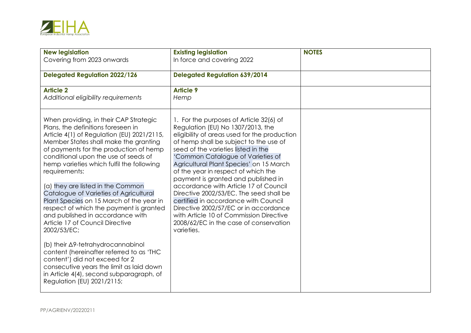

| <b>New legislation</b><br>Covering from 2023 onwards                                                                                                                                                                                                                                                                | <b>Existing legislation</b><br>In force and covering 2022                                                                                                                                                                                                                                                                                                                   | <b>NOTES</b> |
|---------------------------------------------------------------------------------------------------------------------------------------------------------------------------------------------------------------------------------------------------------------------------------------------------------------------|-----------------------------------------------------------------------------------------------------------------------------------------------------------------------------------------------------------------------------------------------------------------------------------------------------------------------------------------------------------------------------|--------------|
|                                                                                                                                                                                                                                                                                                                     |                                                                                                                                                                                                                                                                                                                                                                             |              |
| <b>Delegated Regulation 2022/126</b>                                                                                                                                                                                                                                                                                | <b>Delegated Regulation 639/2014</b>                                                                                                                                                                                                                                                                                                                                        |              |
| <b>Article 2</b><br>Additional eligibility requirements                                                                                                                                                                                                                                                             | <b>Article 9</b><br>Hemp                                                                                                                                                                                                                                                                                                                                                    |              |
| When providing, in their CAP Strategic<br>Plans, the definitions foreseen in<br>Article 4(1) of Regulation (EU) 2021/2115,<br>Member States shall make the granting<br>of payments for the production of hemp<br>conditional upon the use of seeds of<br>hemp varieties which fulfil the following<br>requirements: | 1. For the purposes of Article 32(6) of<br>Regulation (EU) No 1307/2013, the<br>eligibility of areas used for the production<br>of hemp shall be subject to the use of<br>seed of the varieties listed in the<br>'Common Catalogue of Varieties of<br>Agricultural Plant Species' on 15 March<br>of the year in respect of which the<br>payment is granted and published in |              |
| (a) they are listed in the Common<br>Catalogue of Varieties of Agricultural<br>Plant Species on 15 March of the year in<br>respect of which the payment is granted<br>and published in accordance with<br>Article 17 of Council Directive<br>2002/53/EC;                                                            | accordance with Article 17 of Council<br>Directive 2002/53/EC. The seed shall be<br>certified in accordance with Council<br>Directive 2002/57/EC or in accordance<br>with Article 10 of Commission Directive<br>2008/62/EC in the case of conservation<br>varieties.                                                                                                        |              |
| (b) their ∆9-tetrahydrocannabinol<br>content (hereinafter referred to as 'THC<br>content') did not exceed for 2<br>consecutive years the limit as laid down<br>in Article 4(4), second subparagraph, of<br>Regulation (EU) 2021/2115;                                                                               |                                                                                                                                                                                                                                                                                                                                                                             |              |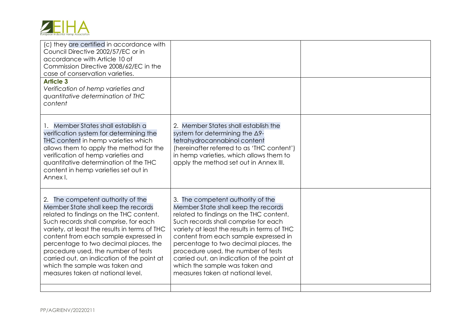| European Industrial Hemp Association |  |  |
|--------------------------------------|--|--|

| <b>Article 3</b><br>Verification of hemp varieties and                                                                                                                                                                                                                                                                                                                                                                                                      |                                                                                                                                                                                                                                                                                                                                                                                                                                                           |  |
|-------------------------------------------------------------------------------------------------------------------------------------------------------------------------------------------------------------------------------------------------------------------------------------------------------------------------------------------------------------------------------------------------------------------------------------------------------------|-----------------------------------------------------------------------------------------------------------------------------------------------------------------------------------------------------------------------------------------------------------------------------------------------------------------------------------------------------------------------------------------------------------------------------------------------------------|--|
| quantitative determination of THC<br>content                                                                                                                                                                                                                                                                                                                                                                                                                |                                                                                                                                                                                                                                                                                                                                                                                                                                                           |  |
| Member States shall establish a<br>verification system for determining the<br>THC content in hemp varieties which<br>allows them to apply the method for the<br>verification of hemp varieties and<br>quantitative determination of the THC<br>content in hemp varieties set out in<br>Annex I.                                                                                                                                                             | 2. Member States shall establish the<br>system for determining the $\Delta$ 9-<br>tetrahydrocannabinol content<br>(hereinafter referred to as 'THC content')<br>in hemp varieties, which allows them to<br>apply the method set out in Annex III.                                                                                                                                                                                                         |  |
| 2. The competent authority of the<br>Member State shall keep the records<br>related to findings on the THC content.<br>Such records shall comprise, for each<br>variety, at least the results in terms of THC<br>content from each sample expressed in<br>percentage to two decimal places, the<br>procedure used, the number of tests<br>carried out, an indication of the point at<br>which the sample was taken and<br>measures taken at national level. | 3. The competent authority of the<br>Member State shall keep the records<br>related to findings on the THC content.<br>Such records shall comprise for each<br>variety at least the results in terms of THC<br>content from each sample expressed in<br>percentage to two decimal places, the<br>procedure used, the number of tests<br>carried out, an indication of the point at<br>which the sample was taken and<br>measures taken at national level. |  |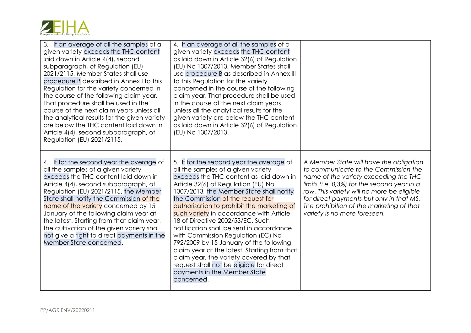

| 3. If an average of all the samples of a<br>given variety exceeds the THC content<br>laid down in Article 4(4), second<br>subparagraph, of Regulation (EU)<br>2021/2115, Member States shall use<br>procedure B described in Annex I to this<br>Regulation for the variety concerned in<br>the course of the following claim year.<br>That procedure shall be used in the<br>course of the next claim years unless all<br>the analytical results for the given variety<br>are below the THC content laid down in<br>Article 4(4), second subparagraph, of<br>Regulation (EU) 2021/2115. | 4. If an average of all the samples of a<br>given variety exceeds the THC content<br>as laid down in Article 32(6) of Regulation<br>(EU) No 1307/2013, Member States shall<br>use procedure B as described in Annex III<br>to this Regulation for the variety<br>concerned in the course of the following<br>claim year. That procedure shall be used<br>in the course of the next claim years<br>unless all the analytical results for the<br>given variety are below the THC content<br>as laid down in Article 32(6) of Regulation<br>(EU) No 1307/2013.                                                                                                                                      |                                                                                                                                                                                                                                                                                                                                                   |
|-----------------------------------------------------------------------------------------------------------------------------------------------------------------------------------------------------------------------------------------------------------------------------------------------------------------------------------------------------------------------------------------------------------------------------------------------------------------------------------------------------------------------------------------------------------------------------------------|--------------------------------------------------------------------------------------------------------------------------------------------------------------------------------------------------------------------------------------------------------------------------------------------------------------------------------------------------------------------------------------------------------------------------------------------------------------------------------------------------------------------------------------------------------------------------------------------------------------------------------------------------------------------------------------------------|---------------------------------------------------------------------------------------------------------------------------------------------------------------------------------------------------------------------------------------------------------------------------------------------------------------------------------------------------|
| 4. If for the second year the average of<br>all the samples of a given variety<br>exceeds the THC content laid down in<br>Article 4(4), second subparagraph, of<br>Regulation (EU) 2021/2115, the Member<br>State shall notify the Commission of the<br>name of the variety concerned by 15<br>January of the following claim year at<br>the latest. Starting from that claim year,<br>the cultivation of the given variety shall<br>not give a right to direct payments in the<br>Member State concerned.                                                                              | 5. If for the second year the average of<br>all the samples of a given variety<br>exceeds the THC content as laid down in<br>Article 32(6) of Regulation (EU) No<br>1307/2013, the Member State shall notify<br>the Commission of the request for<br>authorisation to prohibit the marketing of<br>such variety in accordance with Article<br>18 of Directive 2002/53/EC. Such<br>notification shall be sent in accordance<br>with Commission Regulation (EC) No<br>792/2009 by 15 January of the following<br>claim year at the latest. Starting from that<br>claim year, the variety covered by that<br>request shall not be eligible for direct<br>payments in the Member State<br>concerned. | A Member State will have the obligation<br>to communicate to the Commission the<br>name of the variety exceeding the THC<br>limits (i.e. $0.3\%$ ) for the second year in a<br>row. This variety will no more be eligible<br>for direct payments but only in that MS.<br>The prohibition of the marketing of that<br>variety is no more foreseen. |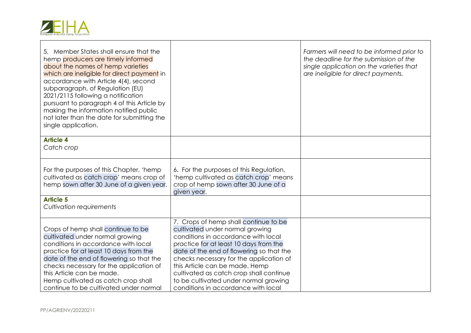

| 5. Member States shall ensure that the<br>hemp producers are timely informed<br>about the names of hemp varieties<br>which are ineligible for direct payment in<br>accordance with Article 4(4), second<br>subparagraph, of Regulation (EU)<br>2021/2115 following a notification<br>pursuant to paragraph 4 of this Article by<br>making the information notified public<br>not later than the date for submitting the<br>single application. |                                                                                                                                                                                                                                                                                                                                                                                                               | Farmers will need to be informed prior to<br>the deadline for the submission of the<br>single application on the varieties that<br>are ineligible for direct payments. |
|------------------------------------------------------------------------------------------------------------------------------------------------------------------------------------------------------------------------------------------------------------------------------------------------------------------------------------------------------------------------------------------------------------------------------------------------|---------------------------------------------------------------------------------------------------------------------------------------------------------------------------------------------------------------------------------------------------------------------------------------------------------------------------------------------------------------------------------------------------------------|------------------------------------------------------------------------------------------------------------------------------------------------------------------------|
| <b>Article 4</b><br>Catch crop                                                                                                                                                                                                                                                                                                                                                                                                                 |                                                                                                                                                                                                                                                                                                                                                                                                               |                                                                                                                                                                        |
| For the purposes of this Chapter, 'hemp<br>cultivated as catch crop' means crop of<br>hemp sown after 30 June of a given year.                                                                                                                                                                                                                                                                                                                 | 6. For the purposes of this Regulation,<br>'hemp cultivated as catch crop' means<br>crop of hemp sown after 30 June of a<br>given year.                                                                                                                                                                                                                                                                       |                                                                                                                                                                        |
| <b>Article 5</b><br>Cultivation requirements                                                                                                                                                                                                                                                                                                                                                                                                   |                                                                                                                                                                                                                                                                                                                                                                                                               |                                                                                                                                                                        |
| Crops of hemp shall continue to be<br>cultivated under normal growing<br>conditions in accordance with local<br>practice for at least 10 days from the<br>date of the end of flowering so that the<br>checks necessary for the application of<br>this Article can be made.<br>Hemp cultivated as catch crop shall<br>continue to be cultivated under normal                                                                                    | 7. Crops of hemp shall continue to be<br>cultivated under normal growing<br>conditions in accordance with local<br>practice for at least 10 days from the<br>date of the end of flowering so that the<br>checks necessary for the application of<br>this Article can be made. Hemp<br>cultivated as catch crop shall continue<br>to be cultivated under normal growing<br>conditions in accordance with local |                                                                                                                                                                        |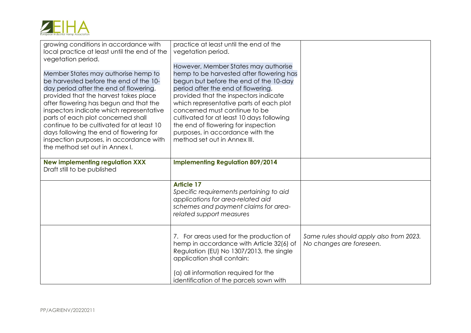

| growing conditions in accordance with<br>local practice at least until the end of the<br>vegetation period.                                                                                                                                                                                                                                                                                                                                                       | practice at least until the end of the<br>vegetation period.<br>However, Member States may authorise                                                                                                                                                                                                                                                                                                  |                                                                     |
|-------------------------------------------------------------------------------------------------------------------------------------------------------------------------------------------------------------------------------------------------------------------------------------------------------------------------------------------------------------------------------------------------------------------------------------------------------------------|-------------------------------------------------------------------------------------------------------------------------------------------------------------------------------------------------------------------------------------------------------------------------------------------------------------------------------------------------------------------------------------------------------|---------------------------------------------------------------------|
| Member States may authorise hemp to<br>be harvested before the end of the 10-<br>day period after the end of flowering,<br>provided that the harvest takes place<br>after flowering has begun and that the<br>inspectors indicate which representative<br>parts of each plot concerned shall<br>continue to be cultivated for at least 10<br>days following the end of flowering for<br>inspection purposes, in accordance with<br>the method set out in Annex I. | hemp to be harvested after flowering has<br>begun but before the end of the 10-day<br>period after the end of flowering,<br>provided that the inspectors indicate<br>which representative parts of each plot<br>concerned must continue to be<br>cultivated for at least 10 days following<br>the end of flowering for inspection<br>purposes, in accordance with the<br>method set out in Annex III. |                                                                     |
| <b>New implementing regulation XXX</b><br>Draft still to be published                                                                                                                                                                                                                                                                                                                                                                                             | <b>Implementing Regulation 809/2014</b>                                                                                                                                                                                                                                                                                                                                                               |                                                                     |
|                                                                                                                                                                                                                                                                                                                                                                                                                                                                   | <b>Article 17</b><br>Specific requirements pertaining to aid<br>applications for area-related aid<br>schemes and payment claims for area-<br>related support measures                                                                                                                                                                                                                                 |                                                                     |
|                                                                                                                                                                                                                                                                                                                                                                                                                                                                   | 7. For areas used for the production of<br>hemp in accordance with Article 32(6) of<br>Regulation (EU) No 1307/2013, the single<br>application shall contain:<br>(a) all information required for the<br>identification of the parcels sown with                                                                                                                                                      | Same rules should apply also from 2023.<br>No changes are foreseen. |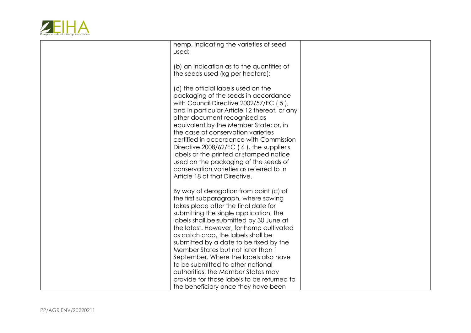

| hemp, indicating the varieties of seed<br>used;                                                                                                                                                                                                                                                                                                                                                                                                                                                                                                                                        |  |
|----------------------------------------------------------------------------------------------------------------------------------------------------------------------------------------------------------------------------------------------------------------------------------------------------------------------------------------------------------------------------------------------------------------------------------------------------------------------------------------------------------------------------------------------------------------------------------------|--|
| (b) an indication as to the quantities of<br>the seeds used (kg per hectare);                                                                                                                                                                                                                                                                                                                                                                                                                                                                                                          |  |
| (c) the official labels used on the<br>packaging of the seeds in accordance<br>with Council Directive 2002/57/EC (5),<br>and in particular Article 12 thereof, or any<br>other document recognised as<br>equivalent by the Member State; or, in<br>the case of conservation varieties<br>certified in accordance with Commission<br>Directive 2008/62/EC (6), the supplier's<br>labels or the printed or stamped notice<br>used on the packaging of the seeds of<br>conservation varieties as referred to in<br>Article 18 of that Directive.                                          |  |
| By way of derogation from point (c) of<br>the first subparagraph, where sowing<br>takes place after the final date for<br>submitting the single application, the<br>labels shall be submitted by 30 June at<br>the latest. However, for hemp cultivated<br>as catch crop, the labels shall be<br>submitted by a date to be fixed by the<br>Member States but not later than 1<br>September. Where the labels also have<br>to be submitted to other national<br>authorities, the Member States may<br>provide for those labels to be returned to<br>the beneficiary once they have been |  |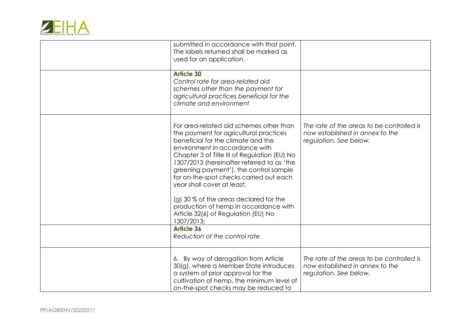

| submitted in accordance with that point.<br>The labels returned shall be marked as<br>used for an application.                                                                                                                                                                                                                                                                                                                                                                                                     |                                                                                                        |
|--------------------------------------------------------------------------------------------------------------------------------------------------------------------------------------------------------------------------------------------------------------------------------------------------------------------------------------------------------------------------------------------------------------------------------------------------------------------------------------------------------------------|--------------------------------------------------------------------------------------------------------|
| <b>Article 30</b><br>Control rate for area-related aid<br>schemes other than the payment for<br>agricultural practices beneficial for the<br>climate and environment                                                                                                                                                                                                                                                                                                                                               |                                                                                                        |
| For area-related aid schemes other than<br>the payment for agricultural practices<br>beneficial for the climate and the<br>environment in accordance with<br>Chapter 3 of Title III of Regulation (EU) No<br>1307/2013 (hereinafter referred to as 'the<br>greening payment'), the control sample<br>for on-the-spot checks carried out each<br>year shall cover at least:<br>(g) 30 % of the areas declared for the<br>production of hemp in accordance with<br>Article 32(6) of Regulation (EU) No<br>1307/2013; | The rate of the areas to be controlled is<br>now established in annex to the<br>regulation. See below. |
| <b>Article 36</b><br>Reduction of the control rate                                                                                                                                                                                                                                                                                                                                                                                                                                                                 |                                                                                                        |
| 6. By way of derogation from Article<br>30(g), where a Member State introduces<br>a system of prior approval for the<br>cultivation of hemp, the minimum level of<br>on-the-spot checks may be reduced to                                                                                                                                                                                                                                                                                                          | The rate of the areas to be controlled is<br>now established in annex to the<br>regulation. See below. |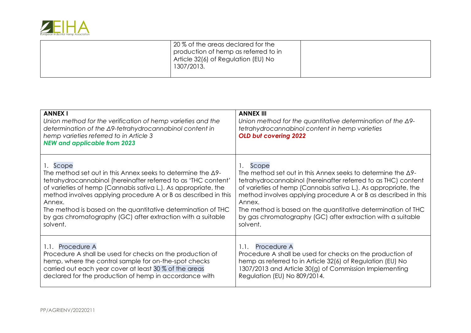

|  | 20% of the areas declared for the<br>production of hemp as referred to in<br>Article 32(6) of Regulation (EU) No<br>1307/2013. |  |
|--|--------------------------------------------------------------------------------------------------------------------------------|--|
|--|--------------------------------------------------------------------------------------------------------------------------------|--|

| <b>ANNEX I</b><br>Union method for the verification of hemp varieties and the<br>determination of the ∆9-tetrahydrocannabinol content in<br>hemp varieties referred to in Article 3<br><b>NEW and applicable from 2023</b> | <b>ANNEX III</b><br>Union method for the quantitative determination of the $\Delta$ 9-<br>tetrahydrocannabinol content in hemp varieties<br><b>OLD but covering 2022</b> |
|----------------------------------------------------------------------------------------------------------------------------------------------------------------------------------------------------------------------------|--------------------------------------------------------------------------------------------------------------------------------------------------------------------------|
| 1. Scope                                                                                                                                                                                                                   | Scope                                                                                                                                                                    |
| The method set out in this Annex seeks to determine the $\Delta$ 9-                                                                                                                                                        | The method set out in this Annex seeks to determine the $\Delta$ 9-                                                                                                      |
| tetrahydrocannabinol (hereinafter referred to as 'THC content'                                                                                                                                                             | tetrahydrocannabinol (hereinafter referred to as THC) content                                                                                                            |
| of varieties of hemp (Cannabis sativa L.). As appropriate, the                                                                                                                                                             | of varieties of hemp (Cannabis sativa L.). As appropriate, the                                                                                                           |
| method involves applying procedure A or B as described in this                                                                                                                                                             | method involves applying procedure A or B as described in this                                                                                                           |
| Annex.                                                                                                                                                                                                                     | Annex.                                                                                                                                                                   |
| The method is based on the quantitative determination of THC                                                                                                                                                               | The method is based on the quantitative determination of THC                                                                                                             |
| by gas chromatography (GC) after extraction with a suitable                                                                                                                                                                | by gas chromatography (GC) after extraction with a suitable                                                                                                              |
| solvent.                                                                                                                                                                                                                   | solvent.                                                                                                                                                                 |
| 1.1. Procedure A                                                                                                                                                                                                           | 1.1. Procedure A                                                                                                                                                         |
| Procedure A shall be used for checks on the production of                                                                                                                                                                  | Procedure A shall be used for checks on the production of                                                                                                                |
| hemp, where the control sample for on-the-spot checks                                                                                                                                                                      | hemp as referred to in Article 32(6) of Regulation (EU) No                                                                                                               |
| carried out each year cover at least 30 % of the areas                                                                                                                                                                     | 1307/2013 and Article 30(g) of Commission Implementing                                                                                                                   |
| declared for the production of hemp in accordance with                                                                                                                                                                     | Regulation (EU) No 809/2014.                                                                                                                                             |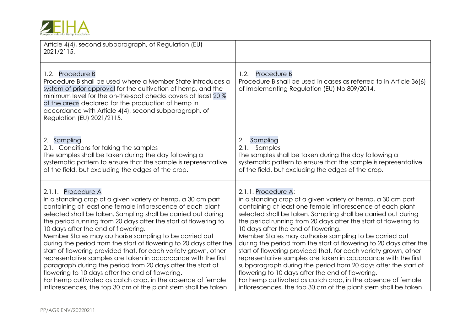|  | European Industrial Hemp Association |
|--|--------------------------------------|

| Article 4(4), second subparagraph, of Regulation (EU)<br>2021/2115.                                                                                                                                                                                                                                                                                                                                                                                                                                                                                                                                                                                                                                                                                                                                                                                 |                                                                                                                                                                                                                                                                                                                                                                                                                                                                                                                                                                                                                                                                                                                                                                                                                                                         |
|-----------------------------------------------------------------------------------------------------------------------------------------------------------------------------------------------------------------------------------------------------------------------------------------------------------------------------------------------------------------------------------------------------------------------------------------------------------------------------------------------------------------------------------------------------------------------------------------------------------------------------------------------------------------------------------------------------------------------------------------------------------------------------------------------------------------------------------------------------|---------------------------------------------------------------------------------------------------------------------------------------------------------------------------------------------------------------------------------------------------------------------------------------------------------------------------------------------------------------------------------------------------------------------------------------------------------------------------------------------------------------------------------------------------------------------------------------------------------------------------------------------------------------------------------------------------------------------------------------------------------------------------------------------------------------------------------------------------------|
| 1.2. Procedure B<br>Procedure B shall be used where a Member State introduces a<br>system of prior approval for the cultivation of hemp, and the<br>minimum level for the on-the-spot checks covers at least 20 %<br>of the areas declared for the production of hemp in<br>accordance with Article 4(4), second subparagraph, of<br>Regulation (EU) 2021/2115.                                                                                                                                                                                                                                                                                                                                                                                                                                                                                     | Procedure B<br>1.2.<br>Procedure B shall be used in cases as referred to in Article 36(6)<br>of Implementing Regulation (EU) No 809/2014.                                                                                                                                                                                                                                                                                                                                                                                                                                                                                                                                                                                                                                                                                                               |
| 2. Sampling<br>2.1. Conditions for taking the samples<br>The samples shall be taken during the day following a<br>systematic pattern to ensure that the sample is representative<br>of the field, but excluding the edges of the crop.                                                                                                                                                                                                                                                                                                                                                                                                                                                                                                                                                                                                              | Sampling<br>2.<br>2.1. Samples<br>The samples shall be taken during the day following a<br>systematic pattern to ensure that the sample is representative<br>of the field, but excluding the edges of the crop.                                                                                                                                                                                                                                                                                                                                                                                                                                                                                                                                                                                                                                         |
| 2.1.1. Procedure A<br>In a standing crop of a given variety of hemp, a 30 cm part<br>containing at least one female inflorescence of each plant<br>selected shall be taken. Sampling shall be carried out during<br>the period running from 20 days after the start of flowering to<br>10 days after the end of flowering.<br>Member States may authorise sampling to be carried out<br>during the period from the start of flowering to 20 days after the<br>start of flowering provided that, for each variety grown, other<br>representative samples are taken in accordance with the first<br>paragraph during the period from 20 days after the start of<br>flowering to 10 days after the end of flowering.<br>For hemp cultivated as catch crop, in the absence of female<br>inflorescences, the top 30 cm of the plant stem shall be taken. | 2.1.1. Procedure A:<br>in a standing crop of a given variety of hemp, a 30 cm part<br>containing at least one female inflorescence of each plant<br>selected shall be taken. Sampling shall be carried out during<br>the period running from 20 days after the start of flowering to<br>10 days after the end of flowering.<br>Member States may authorise sampling to be carried out<br>during the period from the start of flowering to 20 days after the<br>start of flowering provided that, for each variety grown, other<br>representative samples are taken in accordance with the first<br>subparagraph during the period from 20 days after the start of<br>flowering to 10 days after the end of flowering.<br>For hemp cultivated as catch crop, in the absence of female<br>inflorescences, the top 30 cm of the plant stem shall be taken. |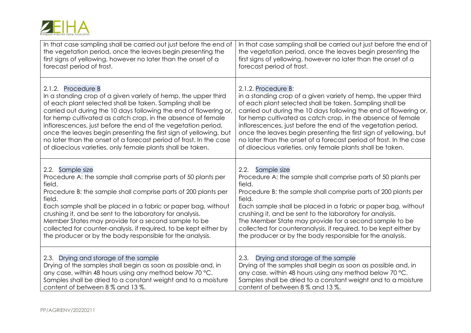

| In that case sampling shall be carried out just before the end of                                                                                                                                                                                                                                                                                                                                                                                                                             | In that case sampling shall be carried out just before the end of                                                                                                                                                                                                                                                                                                                                                                                                                                  |
|-----------------------------------------------------------------------------------------------------------------------------------------------------------------------------------------------------------------------------------------------------------------------------------------------------------------------------------------------------------------------------------------------------------------------------------------------------------------------------------------------|----------------------------------------------------------------------------------------------------------------------------------------------------------------------------------------------------------------------------------------------------------------------------------------------------------------------------------------------------------------------------------------------------------------------------------------------------------------------------------------------------|
| the vegetation period, once the leaves begin presenting the                                                                                                                                                                                                                                                                                                                                                                                                                                   | the vegetation period, once the leaves begin presenting the                                                                                                                                                                                                                                                                                                                                                                                                                                        |
| first signs of yellowing, however no later than the onset of a                                                                                                                                                                                                                                                                                                                                                                                                                                | first signs of yellowing, however no later than the onset of a                                                                                                                                                                                                                                                                                                                                                                                                                                     |
| forecast period of frost.                                                                                                                                                                                                                                                                                                                                                                                                                                                                     | forecast period of frost.                                                                                                                                                                                                                                                                                                                                                                                                                                                                          |
| 2.1.2. Procedure B                                                                                                                                                                                                                                                                                                                                                                                                                                                                            | 2.1.2. Procedure B:                                                                                                                                                                                                                                                                                                                                                                                                                                                                                |
| In a standing crop of a given variety of hemp, the upper third                                                                                                                                                                                                                                                                                                                                                                                                                                | in a standing crop of a given variety of hemp, the upper third                                                                                                                                                                                                                                                                                                                                                                                                                                     |
| of each plant selected shall be taken. Sampling shall be                                                                                                                                                                                                                                                                                                                                                                                                                                      | of each plant selected shall be taken. Sampling shall be                                                                                                                                                                                                                                                                                                                                                                                                                                           |
| carried out during the 10 days following the end of flowering or,                                                                                                                                                                                                                                                                                                                                                                                                                             | carried out during the 10 days following the end of flowering or,                                                                                                                                                                                                                                                                                                                                                                                                                                  |
| for hemp cultivated as catch crop, in the absence of female                                                                                                                                                                                                                                                                                                                                                                                                                                   | for hemp cultivated as catch crop, in the absence of female                                                                                                                                                                                                                                                                                                                                                                                                                                        |
| inflorescences, just before the end of the vegetation period,                                                                                                                                                                                                                                                                                                                                                                                                                                 | inflorescences, just before the end of the vegetation period,                                                                                                                                                                                                                                                                                                                                                                                                                                      |
| once the leaves begin presenting the first sign of yellowing, but                                                                                                                                                                                                                                                                                                                                                                                                                             | once the leaves begin presenting the first sign of yellowing, but                                                                                                                                                                                                                                                                                                                                                                                                                                  |
| no later than the onset of a forecast period of frost. In the case                                                                                                                                                                                                                                                                                                                                                                                                                            | no later than the onset of a forecast period of frost. In the case                                                                                                                                                                                                                                                                                                                                                                                                                                 |
| of dioecious varieties, only female plants shall be taken.                                                                                                                                                                                                                                                                                                                                                                                                                                    | of dioecious varieties, only female plants shall be taken.                                                                                                                                                                                                                                                                                                                                                                                                                                         |
| 2.2. Sample size<br>Procedure A: the sample shall comprise parts of 50 plants per<br>field.<br>Procedure B: the sample shall comprise parts of 200 plants per<br>field.<br>Each sample shall be placed in a fabric or paper bag, without<br>crushing it, and be sent to the laboratory for analysis.<br>Member States may provide for a second sample to be<br>collected for counter-analysis, if required, to be kept either by<br>the producer or by the body responsible for the analysis. | 2.2.<br>Sample size<br>Procedure A: the sample shall comprise parts of 50 plants per<br>field.<br>Procedure B: the sample shall comprise parts of 200 plants per<br>field.<br>Each sample shall be placed in a fabric or paper bag, without<br>crushing it, and be sent to the laboratory for analysis.<br>The Member State may provide for a second sample to be<br>collected for counteranalysis, if required, to be kept either by<br>the producer or by the body responsible for the analysis. |
| 2.3. Drying and storage of the sample                                                                                                                                                                                                                                                                                                                                                                                                                                                         | 2.3. Drying and storage of the sample                                                                                                                                                                                                                                                                                                                                                                                                                                                              |
| Drying of the samples shall begin as soon as possible and, in                                                                                                                                                                                                                                                                                                                                                                                                                                 | Drying of the samples shall begin as soon as possible and, in                                                                                                                                                                                                                                                                                                                                                                                                                                      |
| any case, within 48 hours using any method below 70 °C.                                                                                                                                                                                                                                                                                                                                                                                                                                       | any case, within 48 hours using any method below 70 °C.                                                                                                                                                                                                                                                                                                                                                                                                                                            |
| Samples shall be dried to a constant weight and to a moisture                                                                                                                                                                                                                                                                                                                                                                                                                                 | Samples shall be dried to a constant weight and to a moisture                                                                                                                                                                                                                                                                                                                                                                                                                                      |
| content of between 8 % and 13 %.                                                                                                                                                                                                                                                                                                                                                                                                                                                              | content of between 8 % and 13 %.                                                                                                                                                                                                                                                                                                                                                                                                                                                                   |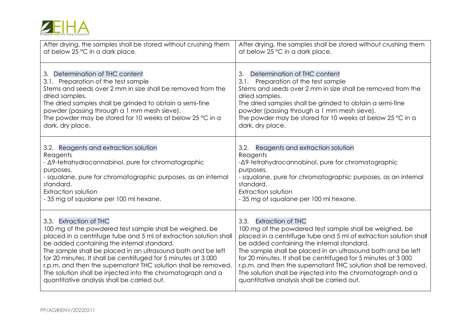| European Industrial Hemp Association |  |  |
|--------------------------------------|--|--|

| After drying, the samples shall be stored without crushing them                                                                                                                                                                                                                                                                                     | After drying, the samples shall be stored without crushing them                                                                                                                                                                                                                                                                                        |
|-----------------------------------------------------------------------------------------------------------------------------------------------------------------------------------------------------------------------------------------------------------------------------------------------------------------------------------------------------|--------------------------------------------------------------------------------------------------------------------------------------------------------------------------------------------------------------------------------------------------------------------------------------------------------------------------------------------------------|
| at below 25 °C in a dark place.                                                                                                                                                                                                                                                                                                                     | at below 25 °C in a dark place.                                                                                                                                                                                                                                                                                                                        |
| 3. Determination of THC content<br>3.1. Preparation of the test sample<br>Stems and seeds over 2 mm in size shall be removed from the<br>dried samples.<br>The dried samples shall be grinded to obtain a semi-fine<br>powder (passing through a 1 mm mesh sieve).<br>The powder may be stored for 10 weeks at below 25 °C in a<br>dark, dry place. | Determination of THC content<br>3.<br>3.1. Preparation of the test sample<br>Stems and seeds over 2 mm in size shall be removed from the<br>dried samples.<br>The dried samples shall be grinded to obtain a semi-fine<br>powder (passing through a 1 mm mesh sieve).<br>The powder may be stored for 10 weeks at below 25 °C in a<br>dark, dry place. |
| 3.2. Reagents and extraction solution                                                                                                                                                                                                                                                                                                               | 3.2. Reagents and extraction solution                                                                                                                                                                                                                                                                                                                  |
| Reagents                                                                                                                                                                                                                                                                                                                                            | Reagents                                                                                                                                                                                                                                                                                                                                               |
| - Δ9-tetrahydrocannabinol, pure for chromatographic                                                                                                                                                                                                                                                                                                 | -Δ9-tetrahydrocannabinol, pure for chromatographic                                                                                                                                                                                                                                                                                                     |
| purposes,                                                                                                                                                                                                                                                                                                                                           | purposes,                                                                                                                                                                                                                                                                                                                                              |
| - squalane, pure for chromatographic purposes, as an internal                                                                                                                                                                                                                                                                                       | - squalane, pure for chromatographic purposes, as an internal                                                                                                                                                                                                                                                                                          |
| standard.                                                                                                                                                                                                                                                                                                                                           | standard.                                                                                                                                                                                                                                                                                                                                              |
| Extraction solution                                                                                                                                                                                                                                                                                                                                 | Extraction solution                                                                                                                                                                                                                                                                                                                                    |
| - 35 mg of squalane per 100 ml hexane.                                                                                                                                                                                                                                                                                                              | - 35 mg of squalane per 100 ml hexane.                                                                                                                                                                                                                                                                                                                 |
| 3.3. Extraction of THC                                                                                                                                                                                                                                                                                                                              | 3.3. Extraction of THC                                                                                                                                                                                                                                                                                                                                 |
| 100 mg of the powdered test sample shall be weighed, be                                                                                                                                                                                                                                                                                             | 100 mg of the powdered test sample shall be weighed, be                                                                                                                                                                                                                                                                                                |
| placed in a centrifuge tube and 5 ml of extraction solution shall                                                                                                                                                                                                                                                                                   | placed in a centrifuge tube and 5 ml of extraction solution shall                                                                                                                                                                                                                                                                                      |
| be added containing the internal standard.                                                                                                                                                                                                                                                                                                          | be added containing the internal standard.                                                                                                                                                                                                                                                                                                             |
| The sample shall be placed in an ultrasound bath and be left                                                                                                                                                                                                                                                                                        | The sample shall be placed in an ultrasound bath and be left                                                                                                                                                                                                                                                                                           |
| for 20 minutes. It shall be centrifuged for 5 minutes at 3 000                                                                                                                                                                                                                                                                                      | for 20 minutes. It shall be centrifuged for 5 minutes at 3 000                                                                                                                                                                                                                                                                                         |
| r.p.m. and then the supernatant THC solution shall be removed.                                                                                                                                                                                                                                                                                      | r.p.m. and then the supernatant THC solution shall be removed.                                                                                                                                                                                                                                                                                         |
| The solution shall be injected into the chromatograph and a                                                                                                                                                                                                                                                                                         | The solution shall be injected into the chromatograph and a                                                                                                                                                                                                                                                                                            |
| quantitative analysis shall be carried out.                                                                                                                                                                                                                                                                                                         | quantitative analysis shall be carried out.                                                                                                                                                                                                                                                                                                            |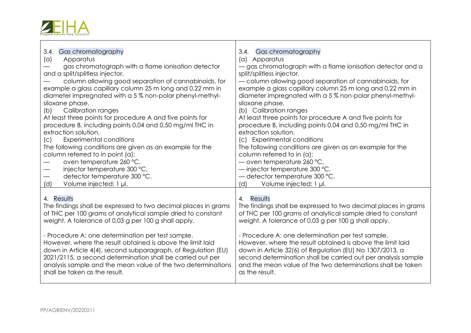

 $\blacksquare$ 

| Gas chromatography<br>3.4.<br>Apparatus<br>(a)<br>gas chromatograph with a flame ionisation detector<br>and a split/splitless injector,<br>column allowing good separation of cannabinoids, for<br>example a glass capillary column 25 m long and 0,22 mm in<br>diameter impregnated with a 5% non-polar phenyl-methyl-<br>siloxane phase.<br><b>Calibration ranges</b><br>(b)<br>At least three points for procedure A and five points for<br>procedure B, including points 0,04 and 0,50 mg/ml THC in<br>extraction solution.<br><b>Experimental conditions</b><br>(C)<br>The following conditions are given as an example for the<br>column referred to in point (a):<br>oven temperature 260 °C,<br>injector temperature 300 °C,<br>$\hspace{0.05cm}$<br>detector temperature 300 °C.<br>(d)<br>Volume injected: 1 µl. | 3.4. Gas chromatography<br>(a) Apparatus<br>- gas chromatograph with a flame ionisation detector and a<br>split/splitless injector,<br>- column allowing good separation of cannabinoids, for<br>example a glass capillary column 25 m long and 0,22 mm in<br>diameter impregnated with a 5% non-polar phenyl-methyl-<br>siloxane phase.<br>(b) Calibration ranges<br>At least three points for procedure A and five points for<br>procedure B, including points 0,04 and 0,50 mg/ml THC in<br>extraction solution.<br>(c) Experimental conditions<br>The following conditions are given as an example for the<br>column referred to in (a):<br>- oven temperature 260 °C,<br>$-$ injector temperature 300 °C,<br>- detector temperature 300 °C.<br>(d)<br>Volume injected: 1 µl. |
|----------------------------------------------------------------------------------------------------------------------------------------------------------------------------------------------------------------------------------------------------------------------------------------------------------------------------------------------------------------------------------------------------------------------------------------------------------------------------------------------------------------------------------------------------------------------------------------------------------------------------------------------------------------------------------------------------------------------------------------------------------------------------------------------------------------------------|-----------------------------------------------------------------------------------------------------------------------------------------------------------------------------------------------------------------------------------------------------------------------------------------------------------------------------------------------------------------------------------------------------------------------------------------------------------------------------------------------------------------------------------------------------------------------------------------------------------------------------------------------------------------------------------------------------------------------------------------------------------------------------------|
| 4. Results                                                                                                                                                                                                                                                                                                                                                                                                                                                                                                                                                                                                                                                                                                                                                                                                                 | 4. Results                                                                                                                                                                                                                                                                                                                                                                                                                                                                                                                                                                                                                                                                                                                                                                        |
| The findings shall be expressed to two decimal places in grams                                                                                                                                                                                                                                                                                                                                                                                                                                                                                                                                                                                                                                                                                                                                                             | The findings shall be expressed to two decimal places in grams                                                                                                                                                                                                                                                                                                                                                                                                                                                                                                                                                                                                                                                                                                                    |
| of THC per 100 grams of analytical sample dried to constant                                                                                                                                                                                                                                                                                                                                                                                                                                                                                                                                                                                                                                                                                                                                                                | of THC per 100 grams of analytical sample dried to constant                                                                                                                                                                                                                                                                                                                                                                                                                                                                                                                                                                                                                                                                                                                       |
| weight. A tolerance of 0,03 g per 100 g shall apply.                                                                                                                                                                                                                                                                                                                                                                                                                                                                                                                                                                                                                                                                                                                                                                       | weight. A tolerance of 0,03 g per 100 g shall apply.                                                                                                                                                                                                                                                                                                                                                                                                                                                                                                                                                                                                                                                                                                                              |
| - Procedure A: one determination per test sample.                                                                                                                                                                                                                                                                                                                                                                                                                                                                                                                                                                                                                                                                                                                                                                          | - Procedure A: one determination per test sample.                                                                                                                                                                                                                                                                                                                                                                                                                                                                                                                                                                                                                                                                                                                                 |
| However, where the result obtained is above the limit laid                                                                                                                                                                                                                                                                                                                                                                                                                                                                                                                                                                                                                                                                                                                                                                 | However, where the result obtained is above the limit laid                                                                                                                                                                                                                                                                                                                                                                                                                                                                                                                                                                                                                                                                                                                        |
| down in Article 4(4), second subparagraph, of Regulation (EU)                                                                                                                                                                                                                                                                                                                                                                                                                                                                                                                                                                                                                                                                                                                                                              | down in Article 32(6) of Regulation (EU) No 1307/2013, a                                                                                                                                                                                                                                                                                                                                                                                                                                                                                                                                                                                                                                                                                                                          |
| 2021/2115, a second determination shall be carried out per                                                                                                                                                                                                                                                                                                                                                                                                                                                                                                                                                                                                                                                                                                                                                                 | second determination shall be carried out per analysis sample                                                                                                                                                                                                                                                                                                                                                                                                                                                                                                                                                                                                                                                                                                                     |
| analysis sample and the mean value of the two determinations                                                                                                                                                                                                                                                                                                                                                                                                                                                                                                                                                                                                                                                                                                                                                               | and the mean value of the two determinations shall be taken                                                                                                                                                                                                                                                                                                                                                                                                                                                                                                                                                                                                                                                                                                                       |
| shall be taken as the result.                                                                                                                                                                                                                                                                                                                                                                                                                                                                                                                                                                                                                                                                                                                                                                                              | as the result.                                                                                                                                                                                                                                                                                                                                                                                                                                                                                                                                                                                                                                                                                                                                                                    |

┯

 $\overline{\phantom{0}}$